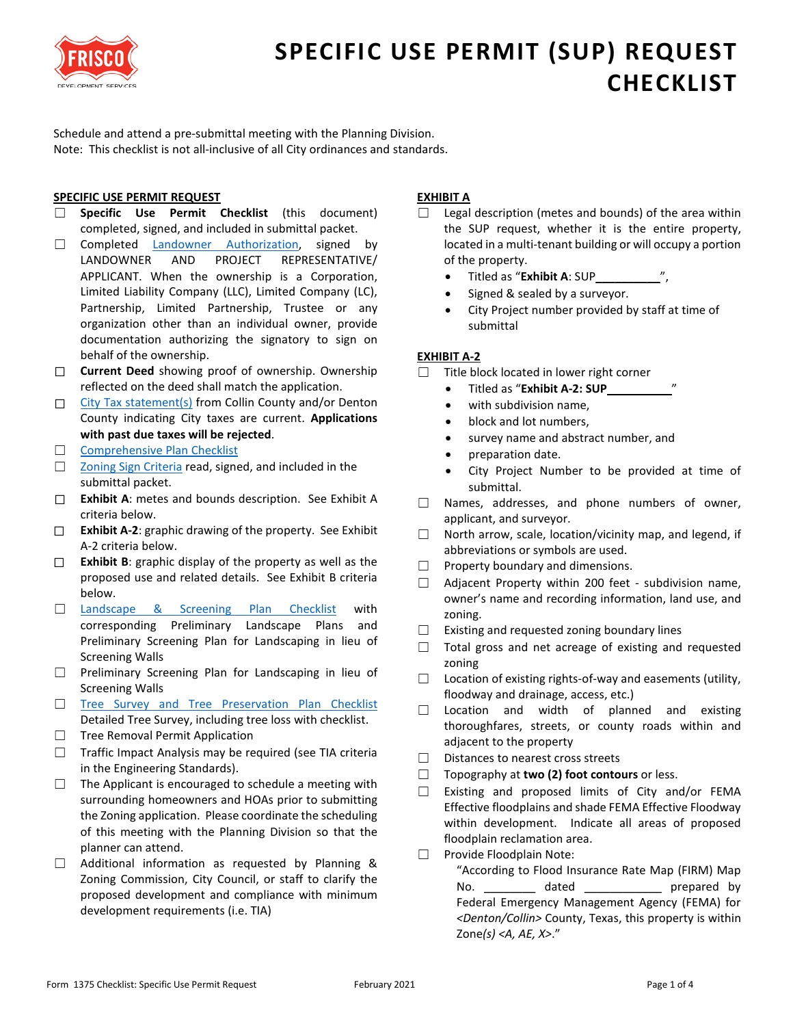

Schedule and attend a pre-submittal meeting with the Planning Division. Note: This checklist is not all-inclusive of all City ordinances and standards.

### **SPECIFIC USE PERMIT REQUEST**

- ☐ **Specific Use Permit Checklist** (this document) completed, signed, and included in submittal packet.
- □ Completed [Landowner Authorization,](https://www.friscotexas.gov/DocumentCenter/View/1379) signed by LANDOWNER AND PROJECT REPRESENTATIVE/ APPLICANT. When the ownership is a Corporation, Limited Liability Company (LLC), Limited Company (LC), Partnership, Limited Partnership, Trustee or any organization other than an individual owner, provide documentation authorizing the signatory to sign on behalf of the ownership.
- ☐ **Current Deed** showing proof of ownership. Ownership reflected on the deed shall match the application.
- □ [City Tax statement\(s\)](https://www.friscotexas.gov/DocumentCenter/View/1389) from Collin County and/or Denton County indicating City taxes are current. **Applications with past due taxes will be rejected**.
- □ [Comprehensive Plan Checklist](https://www.friscotexas.gov/DocumentCenter/View/9090)
- □ [Zoning Sign Criteria](https://www.friscotexas.gov/DocumentCenter/View/1391) read, signed, and included in the submittal packet.
- ☐ **Exhibit A**: metes and bounds description. See Exhibit A criteria below.
- ☐ **Exhibit A-2**: graphic drawing of the property. See Exhibit A-2 criteria below.
- ☐ **Exhibit B**: graphic display of the property as well as the proposed use and related details. See Exhibit B criteria below.
- □ [Landscape & Screening Plan Checklist](https://www.friscotexas.gov/DocumentCenter/View/1366) with corresponding Preliminary Landscape Plans and Preliminary Screening Plan for Landscaping in lieu of Screening Walls
- ☐ Preliminary Screening Plan for Landscaping in lieu of Screening Walls
- □ [Tree Survey and Tree Preservation Plan Checklist](https://www.friscotexas.gov/DocumentCenter/View/1398) Detailed Tree Survey, including tree loss with checklist.
- □ Tree Removal Permit Application
- $\Box$  Traffic Impact Analysis may be required (see TIA criteria in the Engineering Standards).
- ☐ The Applicant is encouraged to schedule a meeting with surrounding homeowners and HOAs prior to submitting the Zoning application. Please coordinate the scheduling of this meeting with the Planning Division so that the planner can attend.
- $\Box$  Additional information as requested by Planning & Zoning Commission, City Council, or staff to clarify the proposed development and compliance with minimum development requirements (i.e. TIA)

## **EXHIBIT A**

- $\Box$  Legal description (metes and bounds) of the area within the SUP request, whether it is the entire property, located in a multi-tenant building or will occupy a portion of the property.
	- Titled as "**Exhibit A**: SUP\_\_\_\_\_\_\_\_\_\_",
	- Signed & sealed by a surveyor.
	- City Project number provided by staff at time of submittal

### **EXHIBIT A-2**

- ☐ Title block located in lower right corner
	- Titled as "**Exhibit A-2: SUP**\_\_\_\_\_\_\_\_\_\_"
	- with subdivision name,
	- block and lot numbers,
	- survey name and abstract number, and
	- preparation date.
	- City Project Number to be provided at time of submittal.
- ☐ Names, addresses, and phone numbers of owner, applicant, and surveyor.
- ☐ North arrow, scale, location/vicinity map, and legend, if abbreviations or symbols are used.
- $\Box$  Property boundary and dimensions.
- ☐ Adjacent Property within 200 feet subdivision name, owner's name and recording information, land use, and zoning.
- ☐ Existing and requested zoning boundary lines
- ☐ Total gross and net acreage of existing and requested zoning
- $\Box$  Location of existing rights-of-way and easements (utility, floodway and drainage, access, etc.)
- $\Box$  Location and width of planned and existing thoroughfares, streets, or county roads within and adjacent to the property
- ☐ Distances to nearest cross streets
- ☐ Topography at **two (2) foot contours** or less.
- ☐ Existing and proposed limits of City and/or FEMA Effective floodplains and shade FEMA Effective Floodway within development. Indicate all areas of proposed floodplain reclamation area.
- ☐ Provide Floodplain Note:
	- "According to Flood Insurance Rate Map (FIRM) Map No. \_\_\_\_\_\_\_\_\_\_ dated \_\_\_\_\_\_\_\_\_\_\_\_\_\_ prepared by Federal Emergency Management Agency (FEMA) for *<Denton/Collin>* County, Texas, this property is within Zone*(s) <A, AE, X>*."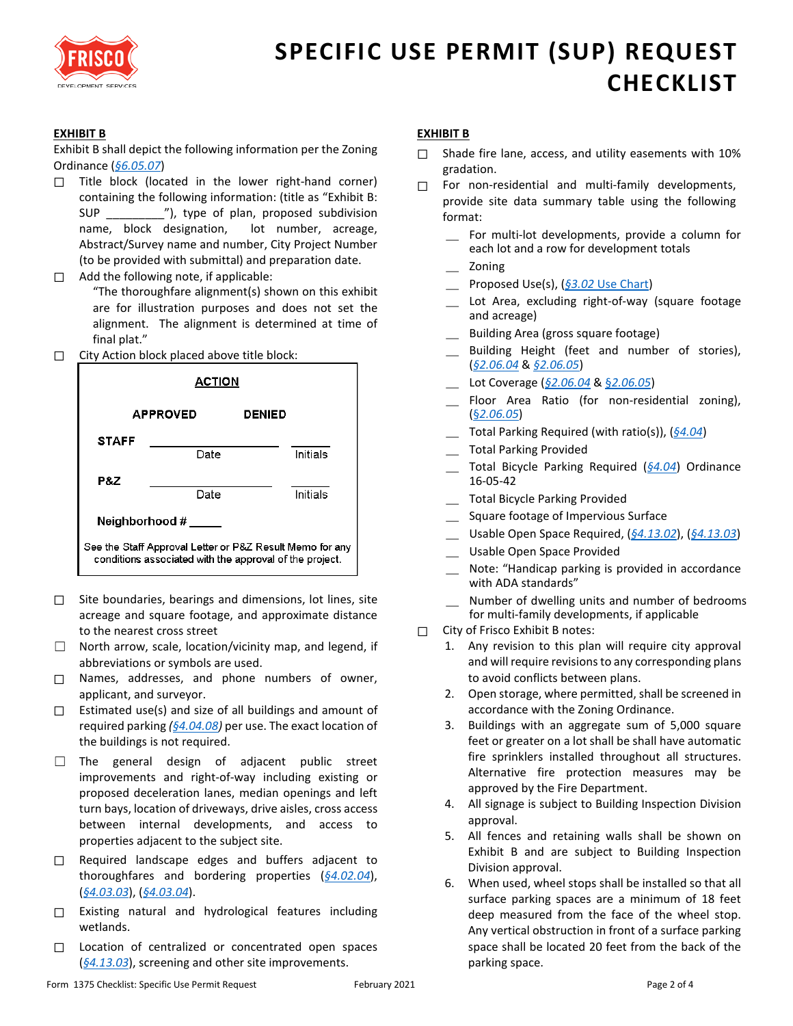

## **EXHIBIT B**

Exhibit B shall depict the following information per the Zoning Ordinance (*[§6.05.07](https://www.friscotexas.gov/DocumentCenter/View/1487#page=232)*)

- $\Box$  Title block (located in the lower right-hand corner) containing the following information: (title as "Exhibit B: SUP \_\_\_\_\_\_\_\_\_"), type of plan, proposed subdivision name, block designation, lot number, acreage, Abstract/Survey name and number, City Project Number (to be provided with submittal) and preparation date.
- ☐ Add the following note, if applicable:

"The thoroughfare alignment(s) shown on this exhibit are for illustration purposes and does not set the alignment. The alignment is determined at time of final plat."

☐ City Action block placed above title block:



- ☐ Site boundaries, bearings and dimensions, lot lines, site acreage and square footage, and approximate distance to the nearest cross street
- ☐ North arrow, scale, location/vicinity map, and legend, if abbreviations or symbols are used.
- ☐ Names, addresses, and phone numbers of owner, applicant, and surveyor.
- $\Box$  Estimated use(s) and size of all buildings and amount of required parking *[\(§4.04.08\)](https://www.friscotexas.gov/DocumentCenter/View/1487#page=147)* per use. The exact location of the buildings is not required.
- ☐ The general design of adjacent public street improvements and right-of-way including existing or proposed deceleration lanes, median openings and left turn bays, location of driveways, drive aisles, cross access between internal developments, and access to properties adjacent to the subject site.
- ☐ Required landscape edges and buffers adjacent to thoroughfares and bordering properties (*[§4.02.04](https://www.friscotexas.gov/DocumentCenter/View/1487#page=122)*), (*[§4.03.03](https://www.friscotexas.gov/DocumentCenter/View/1487#page=135)*), (*[§4.03.04](https://www.friscotexas.gov/DocumentCenter/View/1487#page=135)*).
- ☐ Existing natural and hydrological features including wetlands.
- □ Location of centralized or concentrated open spaces (*[§4.13.03](https://www.friscotexas.gov/DocumentCenter/View/1487#page=212)*), screening and other site improvements.

#### **EXHIBIT B**

- $\Box$  Shade fire lane, access, and utility easements with 10% gradation.
- □ For non-residential and multi-family developments, provide site data summary table using the following format:
	- For multi-lot developments, provide a column for each lot and a row for development totals
	- \_ Zoning
	- Proposed Use(s), (§3.02 [Use Chart\)](https://www.friscotexas.gov/DocumentCenter/View/1487#page=89)
	- Lot Area, excluding right-of-way (square footage and acreage)
	- \_ Building Area (gross square footage)
	- Building Height (feet and number of stories), (*[§2.06.04](https://www.friscotexas.gov/DocumentCenter/View/1487#page=84)* & *[§2.06.05](https://www.friscotexas.gov/DocumentCenter/View/1487#page=84)*)
	- \_ Lot Coverage (*[§2.06.04](https://www.friscotexas.gov/DocumentCenter/View/1487#page=84)* & §*[2.06.05](https://www.friscotexas.gov/DocumentCenter/View/1487#page=84)*)
	- Floor Area Ratio (for non-residential zoning), (§*[2.06.05](https://www.friscotexas.gov/DocumentCenter/View/1487#page=84)*)
	- \_ Total Parking Required (with ratio(s)), (*[§4.04](https://www.friscotexas.gov/DocumentCenter/View/1487#page=147)*)
	- \_ Total Parking Provided
	- \_ Total Bicycle Parking Required (*[§4.04](https://www.friscotexas.gov/DocumentCenter/View/1487#page=147)*) Ordinance 16-05-42
	- \_ Total Bicycle Parking Provided
	- \_ Square footage of Impervious Surface
	- \_ Usable Open Space Required, (*[§4.13.02](https://www.friscotexas.gov/DocumentCenter/View/1487#page=212)*), (*[§4.13.03](https://www.friscotexas.gov/DocumentCenter/View/1487#page=212)*)
	- \_ Usable Open Space Provided
	- \_ Note: "Handicap parking is provided in accordance with ADA standards"
	- Number of dwelling units and number of bedrooms for multi-family developments, if applicable
- □ City of Frisco Exhibit B notes:
	- 1. Any revision to this plan will require city approval and will require revisions to any corresponding plans to avoid conflicts between plans.
	- 2. Open storage, where permitted, shall be screened in accordance with the Zoning Ordinance.
	- 3. Buildings with an aggregate sum of 5,000 square feet or greater on a lot shall be shall have automatic fire sprinklers installed throughout all structures. Alternative fire protection measures may be approved by the Fire Department.
	- 4. All signage is subject to Building Inspection Division approval.
	- 5. All fences and retaining walls shall be shown on Exhibit B and are subject to Building Inspection Division approval.
	- 6. When used, wheel stops shall be installed so that all surface parking spaces are a minimum of 18 feet deep measured from the face of the wheel stop. Any vertical obstruction in front of a surface parking space shall be located 20 feet from the back of the parking space.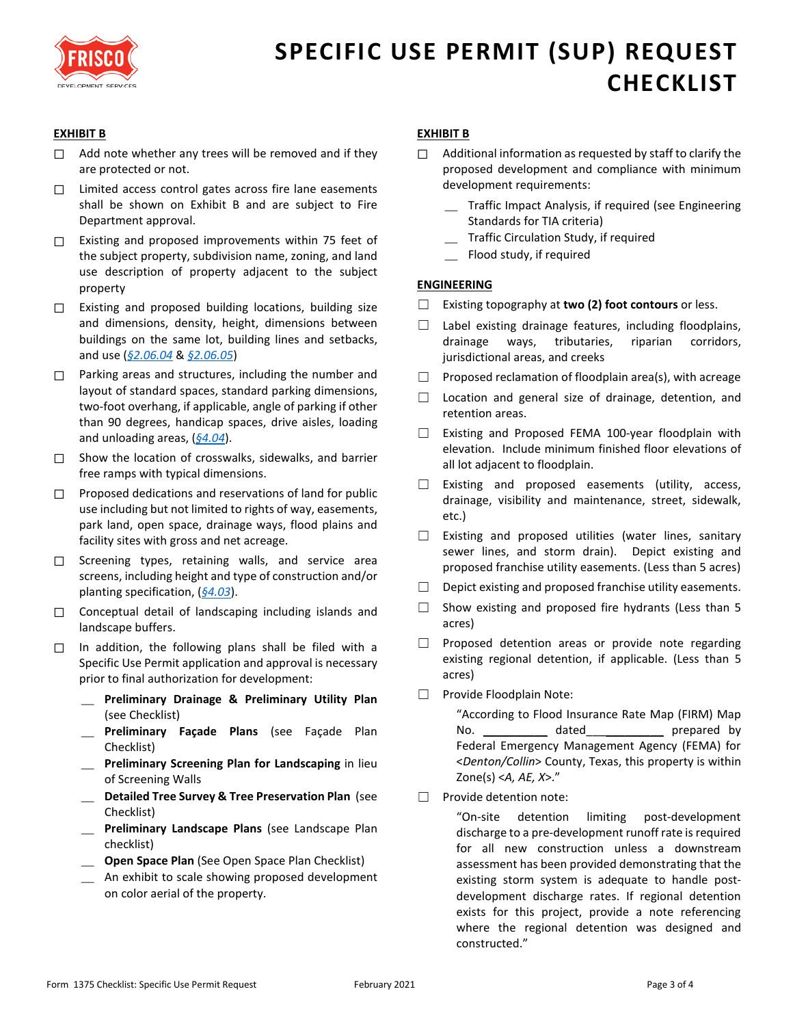

### **EXHIBIT B**

- $\Box$  Add note whether any trees will be removed and if they are protected or not.
- □ Limited access control gates across fire lane easements shall be shown on Exhibit B and are subject to Fire Department approval.
- ☐ Existing and proposed improvements within 75 feet of the subject property, subdivision name, zoning, and land use description of property adjacent to the subject property
- ☐ Existing and proposed building locations, building size and dimensions, density, height, dimensions between buildings on the same lot, building lines and setbacks, and use (*[§2.06.04](https://www.friscotexas.gov/DocumentCenter/View/1487#page=84)* & *[§2.06.05](https://www.friscotexas.gov/DocumentCenter/View/1487#page=84)*)
- □ Parking areas and structures, including the number and layout of standard spaces, standard parking dimensions, two-foot overhang, if applicable, angle of parking if other than 90 degrees, handicap spaces, drive aisles, loading and unloading areas, (*[§4.04](https://www.friscotexas.gov/DocumentCenter/View/1487#page=147)*).
- $\Box$  Show the location of crosswalks, sidewalks, and barrier free ramps with typical dimensions.
- ☐ Proposed dedications and reservations of land for public use including but not limited to rights of way, easements, park land, open space, drainage ways, flood plains and facility sites with gross and net acreage.
- ☐ Screening types, retaining walls, and service area screens, including height and type of construction and/or planting specification, (*[§4.03](https://www.friscotexas.gov/DocumentCenter/View/1487#page=135)*).
- ☐ Conceptual detail of landscaping including islands and landscape buffers.
- □ In addition, the following plans shall be filed with a Specific Use Permit application and approval is necessary prior to final authorization for development:
	- \_ **Preliminary Drainage & Preliminary Utility Plan** (see Checklist)
	- \_ **Preliminary Façade Plans** (see Façade Plan Checklist)
	- \_ **Preliminary Screening Plan for Landscaping** in lieu of Screening Walls
	- \_ **Detailed Tree Survey & Tree Preservation Plan** (see Checklist)
	- \_ **Preliminary Landscape Plans** (see Landscape Plan checklist)
	- \_ **Open Space Plan** (See Open Space Plan Checklist)
	- \_ An exhibit to scale showing proposed development on color aerial of the property.

### **EXHIBIT B**

- $\Box$  Additional information as requested by staff to clarify the proposed development and compliance with minimum development requirements:
	- \_ Traffic Impact Analysis, if required (see Engineering Standards for TIA criteria)
	- \_ Traffic Circulation Study, if required
	- Flood study, if required

### **ENGINEERING**

- ☐ Existing topography at **two (2) foot contours** or less.
- ☐ Label existing drainage features, including floodplains, drainage ways, tributaries, riparian corridors, jurisdictional areas, and creeks
- □ Proposed reclamation of floodplain area(s), with acreage
- ☐ Location and general size of drainage, detention, and retention areas.
- ☐ Existing and Proposed FEMA 100-year floodplain with elevation. Include minimum finished floor elevations of all lot adjacent to floodplain.
- ☐ Existing and proposed easements (utility, access, drainage, visibility and maintenance, street, sidewalk, etc.)
- ☐ Existing and proposed utilities (water lines, sanitary sewer lines, and storm drain). Depict existing and proposed franchise utility easements. (Less than 5 acres)
- $\Box$  Depict existing and proposed franchise utility easements.
- $\Box$  Show existing and proposed fire hydrants (Less than 5 acres)
- □ Proposed detention areas or provide note regarding existing regional detention, if applicable. (Less than 5 acres)
- ☐ Provide Floodplain Note:

"According to Flood Insurance Rate Map (FIRM) Map No. \_\_\_\_\_\_\_\_\_\_\_\_\_\_ dated\_\_\_\_\_\_\_\_\_\_\_\_\_\_\_\_\_ prepared by Federal Emergency Management Agency (FEMA) for <*Denton/Collin*> County, Texas, this property is within Zone(s) <*A, AE, X*>."

☐ Provide detention note:

"On-site detention limiting post-development discharge to a pre-development runoff rate is required for all new construction unless a downstream assessment has been provided demonstrating that the existing storm system is adequate to handle postdevelopment discharge rates. If regional detention exists for this project, provide a note referencing where the regional detention was designed and constructed."